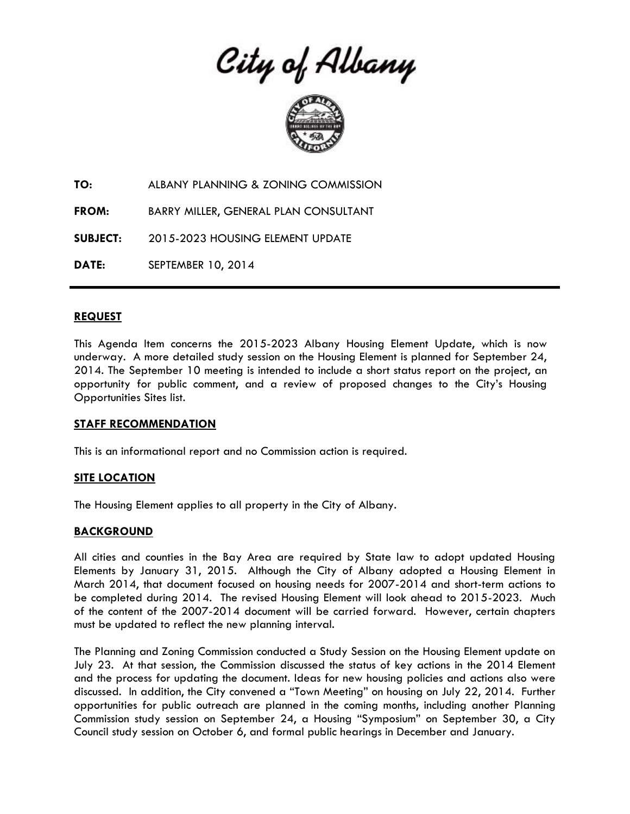City of Albany



**TO:** ALBANY PLANNING & ZONING COMMISSION

**FROM:** BARRY MILLER, GENERAL PLAN CONSULTANT

**SUBJECT:** 2015-2023 HOUSING ELEMENT UPDATE

**DATE:** SEPTEMBER 10, 2014

## **REQUEST**

This Agenda Item concerns the 2015-2023 Albany Housing Element Update, which is now underway. A more detailed study session on the Housing Element is planned for September 24, 2014. The September 10 meeting is intended to include a short status report on the project, an opportunity for public comment, and a review of proposed changes to the City's Housing Opportunities Sites list.

#### **STAFF RECOMMENDATION**

This is an informational report and no Commission action is required.

# **SITE LOCATION**

The Housing Element applies to all property in the City of Albany.

#### **BACKGROUND**

All cities and counties in the Bay Area are required by State law to adopt updated Housing Elements by January 31, 2015. Although the City of Albany adopted a Housing Element in March 2014, that document focused on housing needs for 2007-2014 and short-term actions to be completed during 2014. The revised Housing Element will look ahead to 2015-2023. Much of the content of the 2007-2014 document will be carried forward. However, certain chapters must be updated to reflect the new planning interval.

The Planning and Zoning Commission conducted a Study Session on the Housing Element update on July 23. At that session, the Commission discussed the status of key actions in the 2014 Element and the process for updating the document. Ideas for new housing policies and actions also were discussed. In addition, the City convened a "Town Meeting" on housing on July 22, 2014. Further opportunities for public outreach are planned in the coming months, including another Planning Commission study session on September 24, a Housing "Symposium" on September 30, a City Council study session on October 6, and formal public hearings in December and January.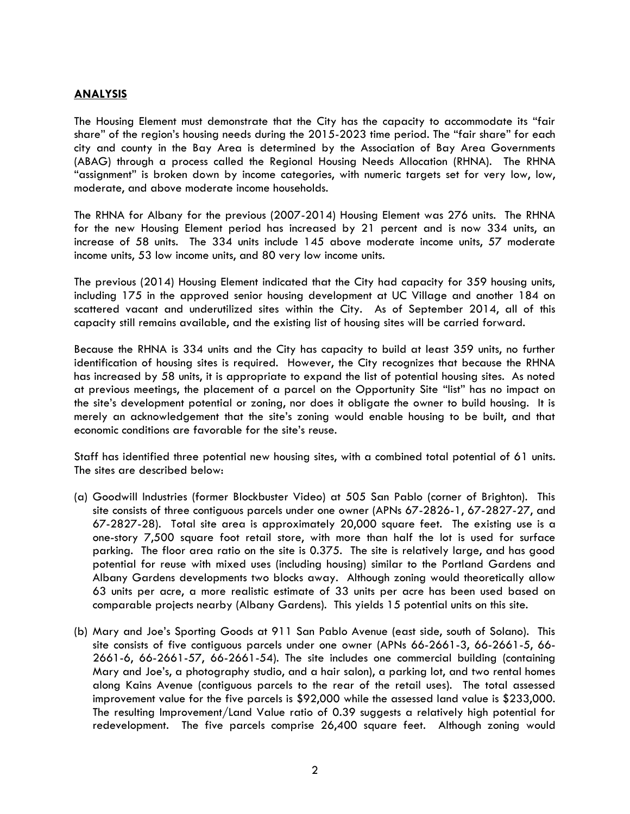## **ANALYSIS**

The Housing Element must demonstrate that the City has the capacity to accommodate its "fair share" of the region's housing needs during the 2015-2023 time period. The "fair share" for each city and county in the Bay Area is determined by the Association of Bay Area Governments (ABAG) through a process called the Regional Housing Needs Allocation (RHNA). The RHNA "assignment" is broken down by income categories, with numeric targets set for very low, low, moderate, and above moderate income households.

The RHNA for Albany for the previous (2007-2014) Housing Element was 276 units. The RHNA for the new Housing Element period has increased by 21 percent and is now 334 units, an increase of 58 units. The 334 units include 145 above moderate income units, 57 moderate income units, 53 low income units, and 80 very low income units.

The previous (2014) Housing Element indicated that the City had capacity for 359 housing units, including 175 in the approved senior housing development at UC Village and another 184 on scattered vacant and underutilized sites within the City. As of September 2014, all of this capacity still remains available, and the existing list of housing sites will be carried forward.

Because the RHNA is 334 units and the City has capacity to build at least 359 units, no further identification of housing sites is required. However, the City recognizes that because the RHNA has increased by 58 units, it is appropriate to expand the list of potential housing sites. As noted at previous meetings, the placement of a parcel on the Opportunity Site "list" has no impact on the site's development potential or zoning, nor does it obligate the owner to build housing. It is merely an acknowledgement that the site's zoning would enable housing to be built, and that economic conditions are favorable for the site's reuse.

Staff has identified three potential new housing sites, with a combined total potential of 61 units. The sites are described below:

- (a) Goodwill Industries (former Blockbuster Video) at 505 San Pablo (corner of Brighton). This site consists of three contiguous parcels under one owner (APNs 67-2826-1, 67-2827-27, and 67-2827-28). Total site area is approximately 20,000 square feet. The existing use is a one-story 7,500 square foot retail store, with more than half the lot is used for surface parking. The floor area ratio on the site is 0.375. The site is relatively large, and has good potential for reuse with mixed uses (including housing) similar to the Portland Gardens and Albany Gardens developments two blocks away. Although zoning would theoretically allow 63 units per acre, a more realistic estimate of 33 units per acre has been used based on comparable projects nearby (Albany Gardens). This yields 15 potential units on this site.
- (b) Mary and Joe's Sporting Goods at 911 San Pablo Avenue (east side, south of Solano). This site consists of five contiguous parcels under one owner (APNs 66-2661-3, 66-2661-5, 66- 2661-6, 66-2661-57, 66-2661-54). The site includes one commercial building (containing Mary and Joe's, a photography studio, and a hair salon), a parking lot, and two rental homes along Kains Avenue (contiguous parcels to the rear of the retail uses). The total assessed improvement value for the five parcels is \$92,000 while the assessed land value is \$233,000. The resulting Improvement/Land Value ratio of 0.39 suggests a relatively high potential for redevelopment. The five parcels comprise 26,400 square feet. Although zoning would